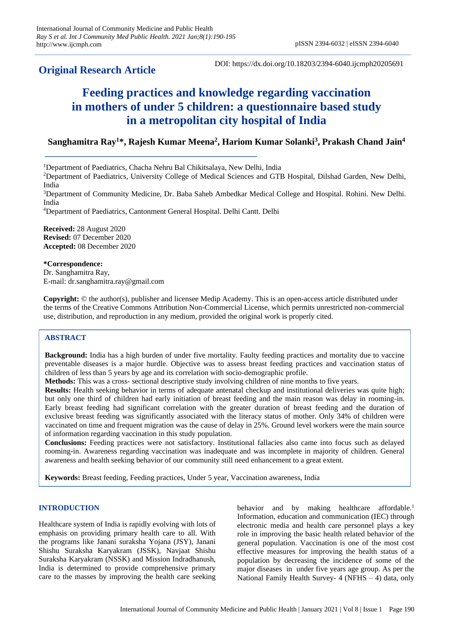# **Original Research Article**

DOI: https://dx.doi.org/10.18203/2394-6040.ijcmph20205691

# **Feeding practices and knowledge regarding vaccination in mothers of under 5 children: a questionnaire based study in a metropolitan city hospital of India**

# **Sanghamitra Ray<sup>1</sup>\*, Rajesh Kumar Meena<sup>2</sup> , Hariom Kumar Solanki<sup>3</sup> , Prakash Chand Jain<sup>4</sup>**

<sup>1</sup>Department of Paediatrics, Chacha Nehru Bal Chikitsalaya, New Delhi, India

<sup>2</sup>Department of Paediatrics, University College of Medical Sciences and GTB Hospital, Dilshad Garden, New Delhi, India

<sup>3</sup>Department of Community Medicine, Dr. Baba Saheb Ambedkar Medical College and Hospital. Rohini. New Delhi. India

<sup>4</sup>Department of Paediatrics, Cantonment General Hospital. Delhi Cantt. Delhi

**Received:** 28 August 2020 **Revised:** 07 December 2020 **Accepted:** 08 December 2020

**\*Correspondence:** Dr. Sanghamitra Ray, E-mail: dr.sanghamitra.ray@gmail.com

**Copyright:** © the author(s), publisher and licensee Medip Academy. This is an open-access article distributed under the terms of the Creative Commons Attribution Non-Commercial License, which permits unrestricted non-commercial use, distribution, and reproduction in any medium, provided the original work is properly cited.

# **ABSTRACT**

**Background:** India has a high burden of under five mortality. Faulty feeding practices and mortality due to vaccine preventable diseases is a major hurdle. Objective was to assess breast feeding practices and vaccination status of children of less than 5 years by age and its correlation with socio-demographic profile.

**Methods:** This was a cross- sectional descriptive study involving children of nine months to five years.

**Results:** Health seeking behavior in terms of adequate antenatal checkup and institutional deliveries was quite high; but only one third of children had early initiation of breast feeding and the main reason was delay in rooming-in. Early breast feeding had significant correlation with the greater duration of breast feeding and the duration of exclusive breast feeding was significantly associated with the literacy status of mother. Only 34% of children were vaccinated on time and frequent migration was the cause of delay in 25%. Ground level workers were the main source of information regarding vaccination in this study population.

**Conclusions:** Feeding practices were not satisfactory. Institutional fallacies also came into focus such as delayed rooming-in. Awareness regarding vaccination was inadequate and was incomplete in majority of children. General awareness and health seeking behavior of our community still need enhancement to a great extent.

**Keywords:** Breast feeding, Feeding practices, Under 5 year, Vaccination awareness, India

# **INTRODUCTION**

Healthcare system of India is rapidly evolving with lots of emphasis on providing primary health care to all. With the programs like Janani suraksha Yojana (JSY), Janani Shishu Suraksha Karyakram (JSSK), Navjaat Shishu Suraksha Karyakram (NSSK) and Mission Indradhanush, India is determined to provide comprehensive primary care to the masses by improving the health care seeking behavior and by making healthcare affordable.<sup>1</sup> Information, education and communication (IEC) through electronic media and health care personnel plays a key role in improving the basic health related behavior of the general population. Vaccination is one of the most cost effective measures for improving the health status of a population by decreasing the incidence of some of the major diseases in under five years age group. As per the National Family Health Survey- 4 (NFHS – 4) data, only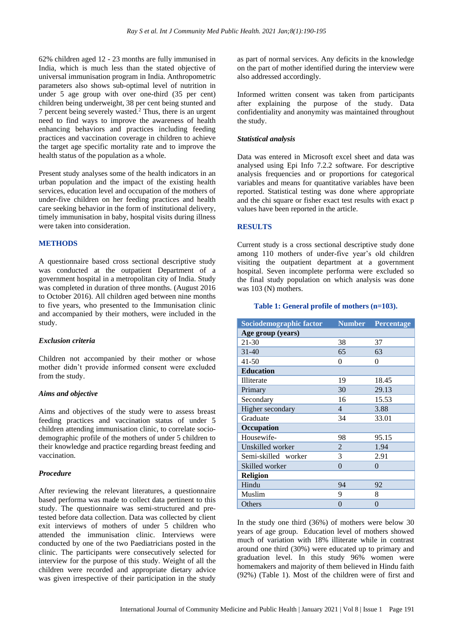62% children aged 12 - 23 months are fully immunised in India, which is much less than the stated objective of universal immunisation program in India. Anthropometric parameters also shows sub-optimal level of nutrition in under 5 age group with over one-third (35 per cent) children being underweight, 38 per cent being stunted and 7 percent being severely wasted.<sup>2</sup> Thus, there is an urgent need to find ways to improve the awareness of health enhancing behaviors and practices including feeding practices and vaccination coverage in children to achieve the target age specific mortality rate and to improve the health status of the population as a whole.

Present study analyses some of the health indicators in an urban population and the impact of the existing health services, education level and occupation of the mothers of under-five children on her feeding practices and health care seeking behavior in the form of institutional delivery, timely immunisation in baby, hospital visits during illness were taken into consideration.

#### **METHODS**

A questionnaire based cross sectional descriptive study was conducted at the outpatient Department of a government hospital in a metropolitan city of India. Study was completed in duration of three months. (August 2016 to October 2016). All children aged between nine months to five years, who presented to the Immunisation clinic and accompanied by their mothers, were included in the study.

#### *Exclusion criteria*

Children not accompanied by their mother or whose mother didn't provide informed consent were excluded from the study.

#### *Aims and objective*

Aims and objectives of the study were to assess breast feeding practices and vaccination status of under 5 children attending immunisation clinic, to correlate sociodemographic profile of the mothers of under 5 children to their knowledge and practice regarding breast feeding and vaccination.

#### *Procedure*

After reviewing the relevant literatures, a questionnaire based performa was made to collect data pertinent to this study. The questionnaire was semi-structured and pretested before data collection. Data was collected by client exit interviews of mothers of under 5 children who attended the immunisation clinic. Interviews were conducted by one of the two Paediatricians posted in the clinic. The participants were consecutively selected for interview for the purpose of this study. Weight of all the children were recorded and appropriate dietary advice was given irrespective of their participation in the study

as part of normal services. Any deficits in the knowledge on the part of mother identified during the interview were also addressed accordingly.

Informed written consent was taken from participants after explaining the purpose of the study. Data confidentiality and anonymity was maintained throughout the study.

#### *Statistical analysis*

Data was entered in Microsoft excel sheet and data was analysed using Epi Info 7.2.2 software. For descriptive analysis frequencies and or proportions for categorical variables and means for quantitative variables have been reported. Statistical testing was done where appropriate and the chi square or fisher exact test results with exact p values have been reported in the article.

#### **RESULTS**

Current study is a cross sectional descriptive study done among 110 mothers of under-five year's old children visiting the outpatient department at a government hospital. Seven incomplete performa were excluded so the final study population on which analysis was done was 103 (N) mothers.

#### **Table 1: General profile of mothers (n=103).**

| Sociodemographic factor | <b>Number</b>  | Percentage |
|-------------------------|----------------|------------|
| Age group (years)       |                |            |
| 21-30                   | 38             | 37         |
| $31 - 40$               | 65             | 63         |
| $41 - 50$               | $\theta$       | $\theta$   |
| <b>Education</b>        |                |            |
| Illiterate              | 19             | 18.45      |
| Primary                 | 30             | 29.13      |
| Secondary               | 16             | 15.53      |
| Higher secondary        | $\overline{4}$ | 3.88       |
| Graduate                | 34             | 33.01      |
| Occupation              |                |            |
| Housewife-              | 98             | 95.15      |
| Unskilled worker        | 2              | 1.94       |
| Semi-skilled worker     | 3              | 2.91       |
| Skilled worker          | $\theta$       | $\theta$   |
| Religion                |                |            |
| Hindu                   | 94             | 92         |
| Muslim                  | 9              | 8          |
| Others                  | $\overline{0}$ | 0          |

In the study one third (36%) of mothers were below 30 years of age group. Education level of mothers showed much of variation with 18% illiterate while in contrast around one third (30%) were educated up to primary and graduation level. In this study 96% women were homemakers and majority of them believed in Hindu faith (92%) (Table 1). Most of the children were of first and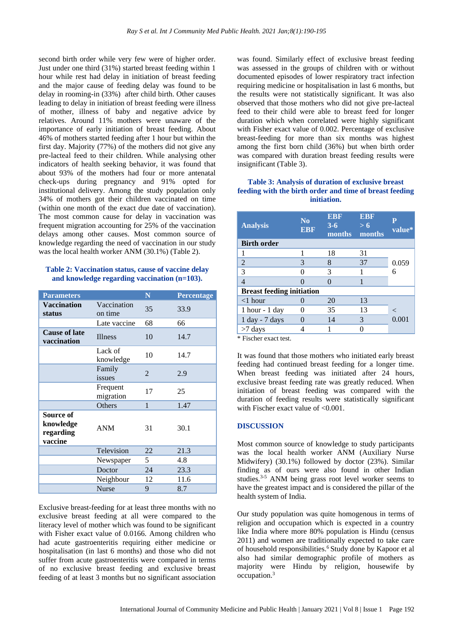second birth order while very few were of higher order. Just under one third (31%) started breast feeding within 1 hour while rest had delay in initiation of breast feeding and the major cause of feeding delay was found to be delay in rooming-in (33%) after child birth. Other causes leading to delay in initiation of breast feeding were illness of mother, illness of baby and negative advice by relatives. Around 11% mothers were unaware of the importance of early initiation of breast feeding. About 46% of mothers started feeding after 1 hour but within the first day. Majority (77%) of the mothers did not give any pre-lacteal feed to their children. While analysing other indicators of health seeking behavior, it was found that about 93% of the mothers had four or more antenatal check-ups during pregnancy and 91% opted for institutional delivery. Among the study population only 34% of mothers got their children vaccinated on time (within one month of the exact due date of vaccination). The most common cause for delay in vaccination was frequent migration accounting for 25% of the vaccination delays among other causes. Most common source of knowledge regarding the need of vaccination in our study was the local health worker ANM (30.1%) (Table 2).

# **Table 2: Vaccination status, cause of vaccine delay and knowledge regarding vaccination (n=103).**

| <b>Parameters</b>                              |                        | N              | Percentage |
|------------------------------------------------|------------------------|----------------|------------|
| <b>Vaccination</b><br>status                   | Vaccination<br>on time | 35             | 33.9       |
|                                                | Late vaccine           | 68             | 66         |
| <b>Cause of late</b><br>vaccination            | <b>Illness</b>         | 10             | 14.7       |
|                                                | Lack of<br>knowledge   | 10             | 14.7       |
|                                                | Family<br>issues       | $\overline{2}$ | 2.9        |
|                                                | Frequent<br>migration  | 17             | 25         |
|                                                | Others                 | $\mathbf{1}$   | 1.47       |
| Source of<br>knowledge<br>regarding<br>vaccine | <b>ANM</b>             | 31             | 30.1       |
|                                                | Television             | 22             | 21.3       |
|                                                | Newspaper              | 5              | 4.8        |
|                                                | Doctor                 | 24             | 23.3       |
|                                                | Neighbour              | 12             | 11.6       |
|                                                | <b>Nurse</b>           | 9              | 8.7        |

Exclusive breast-feeding for at least three months with no exclusive breast feeding at all were compared to the literacy level of mother which was found to be significant with Fisher exact value of 0.0166. Among children who had acute gastroenteritis requiring either medicine or hospitalisation (in last 6 months) and those who did not suffer from acute gastroenteritis were compared in terms of no exclusive breast feeding and exclusive breast feeding of at least 3 months but no significant association

was found. Similarly effect of exclusive breast feeding was assessed in the groups of children with or without documented episodes of lower respiratory tract infection requiring medicine or hospitalisation in last 6 months, but the results were not statistically significant. It was also observed that those mothers who did not give pre-lacteal feed to their child were able to breast feed for longer duration which when correlated were highly significant with Fisher exact value of 0.002. Percentage of exclusive breast-feeding for more than six months was highest among the first born child (36%) but when birth order was compared with duration breast feeding results were insignificant (Table 3).

### **Table 3: Analysis of duration of exclusive breast feeding with the birth order and time of breast feeding initiation.**

| <b>Analysis</b>                  | N <sub>0</sub><br><b>EBF</b> | <b>EBF</b><br>$3 - 6$<br><b>months</b> | <b>EBF</b><br>> 6<br>months | P<br>value* |  |  |
|----------------------------------|------------------------------|----------------------------------------|-----------------------------|-------------|--|--|
| <b>Birth order</b>               |                              |                                        |                             |             |  |  |
| 1                                | 1                            | 18                                     | 31                          |             |  |  |
| 2                                | 3                            | 8                                      | 37                          | 0.059       |  |  |
| 3                                |                              | 3                                      |                             |             |  |  |
| $\overline{4}$                   |                              |                                        |                             |             |  |  |
| <b>Breast feeding initiation</b> |                              |                                        |                             |             |  |  |
| $<$ 1 hour                       |                              | 20                                     | 13                          |             |  |  |
| $1$ hour - $1$ day               | 0                            | 35                                     | 13                          | $\lt$       |  |  |
| $1$ day - $7$ days               |                              | 14                                     | 3                           | 0.001       |  |  |
| $>7$ days                        |                              |                                        |                             |             |  |  |

\* Fischer exact test.

It was found that those mothers who initiated early breast feeding had continued breast feeding for a longer time. When breast feeding was initiated after 24 hours, exclusive breast feeding rate was greatly reduced. When initiation of breast feeding was compared with the duration of feeding results were statistically significant with Fischer exact value of <0.001.

# **DISCUSSION**

Most common source of knowledge to study participants was the local health worker ANM (Auxiliary Nurse Midwifery) (30.1%) followed by doctor (23%). Similar finding as of ours were also found in other Indian studies.3-5 ANM being grass root level worker seems to have the greatest impact and is considered the pillar of the health system of India.

Our study population was quite homogenous in terms of religion and occupation which is expected in a country like India where more 80% population is Hindu (census 2011) and women are traditionally expected to take care of household responsibilities.<sup>6</sup> Study done by Kapoor et al also had similar demographic profile of mothers as majority were Hindu by religion, housewife by occupation.3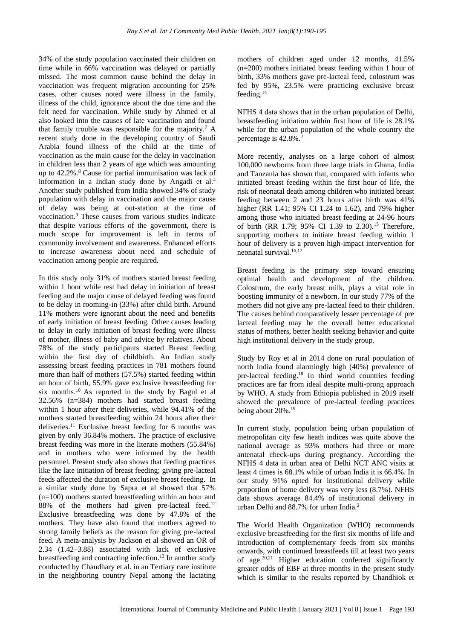34% of the study population vaccinated their children on time while in 66% vaccination was delayed or partially missed. The most common cause behind the delay in vaccination was frequent migration accounting for 25% cases, other causes noted were illness in the family, illness of the child, ignorance about the due time and the felt need for vaccination. While study by Ahmed et al also looked into the causes of late vaccination and found that family trouble was responsible for the majority.<sup>7</sup> A recent study done in the developing country of Saudi Arabia found illness of the child at the time of vaccination as the main cause for the delay in vaccination in children less than 2 years of age which was amounting up to 42.2%.<sup>8</sup> Cause for partial immunisation was lack of information in a Indian study done by Angadi et al.<sup>4</sup> Another study published from India showed 34% of study population with delay in vaccination and the major cause of delay was being at out-station at the time of vaccination.<sup>9</sup> These causes from various studies indicate that despite various efforts of the government, there is much scope for improvement is left in terms of community involvement and awareness. Enhanced efforts to increase awareness about need and schedule of vaccination among people are required.

In this study only 31% of mothers started breast feeding within 1 hour while rest had delay in initiation of breast feeding and the major cause of delayed feeding was found to be delay in rooming-in (33%) after child birth. Around 11% mothers were ignorant about the need and benefits of early initiation of breast feeding. Other causes leading to delay in early initiation of breast feeding were illness of mother, illness of baby and advice by relatives. About 78% of the study participants started Breast feeding within the first day of childbirth. An Indian study assessing breast feeding practices in 781 mothers found more than half of mothers (57.5%) started feeding within an hour of birth, 55.9% gave exclusive breastfeeding for six months.<sup>10</sup> As reported in the study by Bagul et al 32.56% (n=384) mothers had started breast feeding within 1 hour after their deliveries, while 94.41% of the mothers started breastfeeding within 24 hours after their deliveries.<sup>11</sup> Exclusive breast feeding for 6 months was given by only 36.84% mothers. The practice of exclusive breast feeding was more in the literate mothers (55.84%) and in mothers who were informed by the health personnel. Present study also shows that feeding practices like the late initiation of breast feeding; giving pre-lacteal feeds affected the duration of exclusive breast feeding. In a similar study done by Sapra et al showed that 57% (n=100) mothers started breastfeeding within an hour and 88% of the mothers had given pre-lacteal feed.<sup>12</sup> Exclusive breastfeeding was done by 47.8% of the mothers. They have also found that mothers agreed to strong family beliefs as the reason for giving pre-lacteal feed. A meta-analysis by Jackson et al showed an OR of 2.34 (1.42–3.88) associated with lack of exclusive breastfeeding and contracting infection. <sup>13</sup> In another study conducted by Chaudhary et al. in an Tertiary care institute in the neighboring country Nepal among the lactating

mothers of children aged under 12 months, 41.5% (n=200) mothers initiated breast feeding within 1 hour of birth, 33% mothers gave pre-lacteal feed, colostrum was fed by 95%, 23.5% were practicing exclusive breast feeding.<sup>14</sup>

NFHS 4 data shows that in the urban population of Delhi, breastfeeding initiation within first hour of life is 28.1% while for the urban population of the whole country the percentage is 42.8%.<sup>2</sup>

More recently, analyses on a large cohort of almost 100,000 newborns from three large trials in Ghana, India and Tanzania has shown that, compared with infants who initiated breast feeding within the first hour of life, the risk of neonatal death among children who initiated breast feeding between 2 and 23 hours after birth was 41% higher (RR 1.41; 95% CI 1.24 to 1.62), and 79% higher among those who initiated breast feeding at 24-96 hours of birth (RR 1.79; 95% CI 1.39 to  $2.30$ ).<sup>15</sup> Therefore, supporting mothers to initiate breast feeding within 1 hour of delivery is a proven high-impact intervention for neonatal survival.16,17

Breast feeding is the primary step toward ensuring optimal health and development of the children. Colostrum, the early breast milk, plays a vital role in boosting immunity of a newborn. In our study 77% of the mothers did not give any pre-lacteal feed to their children. The causes behind comparatively lesser percentage of pre lacteal feeding may be the overall better educational status of mothers, better health seeking behavior and quite high institutional delivery in the study group.

Study by Roy et al in 2014 done on rural population of north India found alarmingly high (40%) prevalence of pre-lacteal feeding.<sup>18</sup> In third world countries feeding practices are far from ideal despite multi-prong approach by WHO. A study from Ethiopia published in 2019 itself showed the prevalence of pre-lacteal feeding practices being about 20%.<sup>19</sup>

In current study, population being urban population of metropolitan city few heath indices was quite above the national average as 93% mothers had three or more antenatal check-ups during pregnancy. According the NFHS 4 data in urban area of Delhi NCT ANC visits at least 4 times is 68.1% while of urban India it is 66.4%. In our study 91% opted for institutional delivery while proportion of home delivery was very less (8.7%). NFHS data shows average 84.4% of institutional delivery in urban Delhi and 88.7% for urban India.<sup>2</sup>

The World Health Organization (WHO) recommends exclusive breastfeeding for the first six months of life and introduction of complementary feeds from six months onwards, with continued breastfeeds till at least two years of age. $20,21$  Higher education conferred significantly greater odds of EBF at three months in the present study which is similar to the results reported by Chandhiok et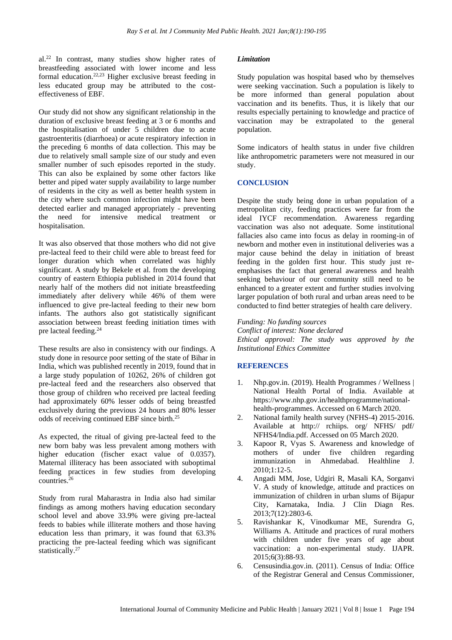al.<sup>22</sup> In contrast, many studies show higher rates of breastfeeding associated with lower income and less formal education.22,23 Higher exclusive breast feeding in less educated group may be attributed to the costeffectiveness of EBF.

Our study did not show any significant relationship in the duration of exclusive breast feeding at 3 or 6 months and the hospitalisation of under 5 children due to acute gastroenteritis (diarrhoea) or acute respiratory infection in the preceding 6 months of data collection. This may be due to relatively small sample size of our study and even smaller number of such episodes reported in the study. This can also be explained by some other factors like better and piped water supply availability to large number of residents in the city as well as better health system in the city where such common infection might have been detected earlier and managed appropriately - preventing the need for intensive medical treatment or hospitalisation.

It was also observed that those mothers who did not give pre-lacteal feed to their child were able to breast feed for longer duration which when correlated was highly significant. A study by Bekele et al. from the developing country of eastern Ethiopia published in 2014 found that nearly half of the mothers did not initiate breastfeeding immediately after delivery while 46% of them were influenced to give pre-lacteal feeding to their new born infants. The authors also got statistically significant association between breast feeding initiation times with pre lacteal feeding.<sup>24</sup>

These results are also in consistency with our findings. A study done in resource poor setting of the state of Bihar in India, which was published recently in 2019, found that in a large study population of 10262, 26% of children got pre-lacteal feed and the researchers also observed that those group of children who received pre lacteal feeding had approximately 60% lesser odds of being breastfed exclusively during the previous 24 hours and 80% lesser odds of receiving continued EBF since birth.<sup>25</sup>

As expected, the ritual of giving pre-lacteal feed to the new born baby was less prevalent among mothers with higher education (fischer exact value of 0.0357). Maternal illiteracy has been associated with suboptimal feeding practices in few studies from developing countries. $26$ 

Study from rural Maharastra in India also had similar findings as among mothers having education secondary school level and above 33.9% were giving pre-lacteal feeds to babies while illiterate mothers and those having education less than primary, it was found that 63.3% practicing the pre-lacteal feeding which was significant statistically.<sup>27</sup>

#### *Limitation*

Study population was hospital based who by themselves were seeking vaccination. Such a population is likely to be more informed than general population about vaccination and its benefits. Thus, it is likely that our results especially pertaining to knowledge and practice of vaccination may be extrapolated to the general population.

Some indicators of health status in under five children like anthropometric parameters were not measured in our study.

# **CONCLUSION**

Despite the study being done in urban population of a metropolitan city, feeding practices were far from the ideal IYCF recommendation. Awareness regarding vaccination was also not adequate. Some institutional fallacies also came into focus as delay in rooming-in of newborn and mother even in institutional deliveries was a major cause behind the delay in initiation of breast feeding in the golden first hour. This study just reemphasises the fact that general awareness and health seeking behaviour of our community still need to be enhanced to a greater extent and further studies involving larger population of both rural and urban areas need to be conducted to find better strategies of health care delivery.

*Funding: No funding sources Conflict of interest: None declared Ethical approval: The study was approved by the Institutional Ethics Committee*

# **REFERENCES**

- 1. Nhp.gov.in. (2019). Health Programmes / Wellness | National Health Portal of India. Available at https://www.nhp.gov.in/healthprogramme/nationalhealth-programmes. Accessed on 6 March 2020.
- 2. National family health survey (NFHS-4) 2015-2016. Available at http:// rchiips. org/ NFHS/ pdf/ NFHS4/India.pdf. Accessed on 05 March 2020.
- 3. Kapoor R, Vyas S. Awareness and knowledge of mothers of under five children regarding immunization in Ahmedabad. Healthline J.  $2010:1:12-5.$
- 4. Angadi MM, Jose, Udgiri R, Masali KA, Sorganvi V. A study of knowledge, attitude and practices on immunization of children in urban slums of Bijapur City, Karnataka, India. J Clin Diagn Res. 2013;7(12):2803-6.
- 5. Ravishankar K, Vinodkumar ME, Surendra G, Williams A. Attitude and practices of rural mothers with children under five years of age about vaccination: a non-experimental study. IJAPR. 2015;6(3):88-93.
- 6. Censusindia.gov.in. (2011). Census of India: Office of the Registrar General and Census Commissioner,